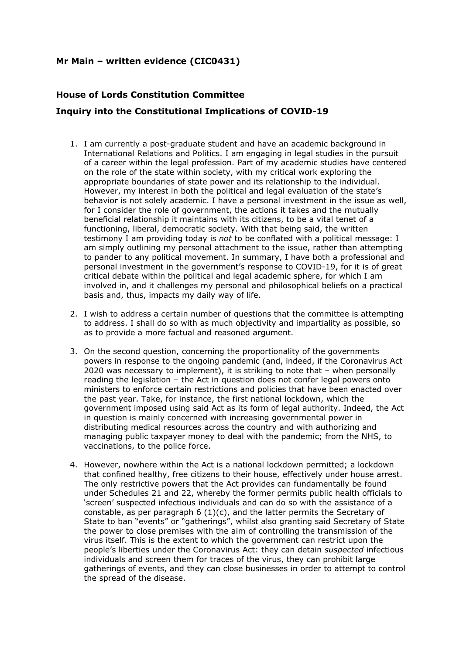## **Mr Main – written evidence (CIC0431)**

## **House of Lords Constitution Committee Inquiry into the Constitutional Implications of COVID-19**

- 1. I am currently a post-graduate student and have an academic background in International Relations and Politics. I am engaging in legal studies in the pursuit of a career within the legal profession. Part of my academic studies have centered on the role of the state within society, with my critical work exploring the appropriate boundaries of state power and its relationship to the individual. However, my interest in both the political and legal evaluation of the state's behavior is not solely academic. I have a personal investment in the issue as well, for I consider the role of government, the actions it takes and the mutually beneficial relationship it maintains with its citizens, to be a vital tenet of a functioning, liberal, democratic society. With that being said, the written testimony I am providing today is *not* to be conflated with a political message: I am simply outlining my personal attachment to the issue, rather than attempting to pander to any political movement. In summary, I have both a professional and personal investment in the government's response to COVID-19, for it is of great critical debate within the political and legal academic sphere, for which I am involved in, and it challenges my personal and philosophical beliefs on a practical basis and, thus, impacts my daily way of life.
- 2. I wish to address a certain number of questions that the committee is attempting to address. I shall do so with as much objectivity and impartiality as possible, so as to provide a more factual and reasoned argument.
- 3. On the second question, concerning the proportionality of the governments powers in response to the ongoing pandemic (and, indeed, if the Coronavirus Act 2020 was necessary to implement), it is striking to note that – when personally reading the legislation – the Act in question does not confer legal powers onto ministers to enforce certain restrictions and policies that have been enacted over the past year. Take, for instance, the first national lockdown, which the government imposed using said Act as its form of legal authority. Indeed, the Act in question is mainly concerned with increasing governmental power in distributing medical resources across the country and with authorizing and managing public taxpayer money to deal with the pandemic; from the NHS, to vaccinations, to the police force.
- 4. However, nowhere within the Act is a national lockdown permitted; a lockdown that confined healthy, free citizens to their house, effectively under house arrest. The only restrictive powers that the Act provides can fundamentally be found under Schedules 21 and 22, whereby the former permits public health officials to 'screen' suspected infectious individuals and can do so with the assistance of a constable, as per paragraph  $6(1)(c)$ , and the latter permits the Secretary of State to ban "events" or "gatherings", whilst also granting said Secretary of State the power to close premises with the aim of controlling the transmission of the virus itself. This is the extent to which the government can restrict upon the people's liberties under the Coronavirus Act: they can detain *suspected* infectious individuals and screen them for traces of the virus, they can prohibit large gatherings of events, and they can close businesses in order to attempt to control the spread of the disease.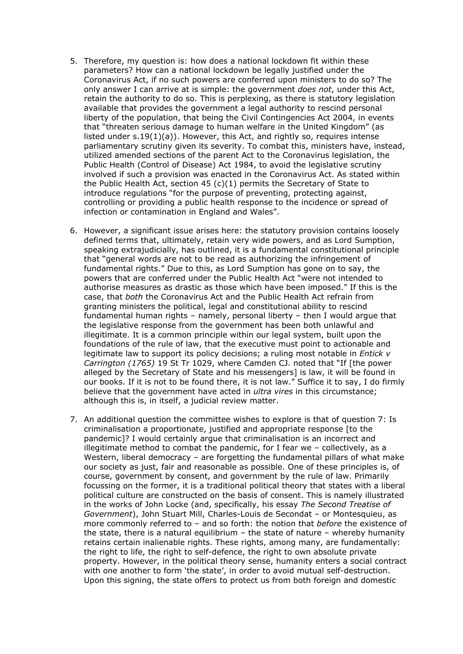- 5. Therefore, my question is: how does a national lockdown fit within these parameters? How can a national lockdown be legally justified under the Coronavirus Act, if no such powers are conferred upon ministers to do so? The only answer I can arrive at is simple: the government *does not*, under this Act, retain the authority to do so. This is perplexing, as there is statutory legislation available that provides the government a legal authority to rescind personal liberty of the population, that being the Civil Contingencies Act 2004, in events that "threaten serious damage to human welfare in the United Kingdom" (as listed under s.19(1)(a)). However, this Act, and rightly so, requires intense parliamentary scrutiny given its severity. To combat this, ministers have, instead, utilized amended sections of the parent Act to the Coronavirus legislation, the Public Health (Control of Disease) Act 1984, to avoid the legislative scrutiny involved if such a provision was enacted in the Coronavirus Act. As stated within the Public Health Act, section 45 (c)(1) permits the Secretary of State to introduce regulations "for the purpose of preventing, protecting against, controlling or providing a public health response to the incidence or spread of infection or contamination in England and Wales".
- 6. However, a significant issue arises here: the statutory provision contains loosely defined terms that, ultimately, retain very wide powers, and as Lord Sumption, speaking extrajudicially, has outlined, it is a fundamental constitutional principle that "general words are not to be read as authorizing the infringement of fundamental rights." Due to this, as Lord Sumption has gone on to say, the powers that are conferred under the Public Health Act "were not intended to authorise measures as drastic as those which have been imposed." If this is the case, that *both* the Coronavirus Act and the Public Health Act refrain from granting ministers the political, legal and constitutional ability to rescind fundamental human rights – namely, personal liberty – then I would argue that the legislative response from the government has been both unlawful and illegitimate. It is a common principle within our legal system, built upon the foundations of the rule of law, that the executive must point to actionable and legitimate law to support its policy decisions; a ruling most notable in *Entick v Carrington (1765)* 19 St Tr 1029, where Camden CJ. noted that "If [the power alleged by the Secretary of State and his messengers] is law, it will be found in our books. If it is not to be found there, it is not law." Suffice it to say, I do firmly believe that the government have acted in *ultra vires* in this circumstance; although this is, in itself, a judicial review matter.
- 7. An additional question the committee wishes to explore is that of question 7: Is criminalisation a proportionate, justified and appropriate response [to the pandemic]? I would certainly argue that criminalisation is an incorrect and illegitimate method to combat the pandemic, for I fear we – collectively, as a Western, liberal democracy - are forgetting the fundamental pillars of what make our society as just, fair and reasonable as possible. One of these principles is, of course, government by consent, and government by the rule of law. Primarily focussing on the former, it is a traditional political theory that states with a liberal political culture are constructed on the basis of consent. This is namely illustrated in the works of John Locke (and, specifically, his essay *The Second Treatise of Government*), John Stuart Mill, Charles-Louis de Secondat – or Montesquieu, as more commonly referred to – and so forth: the notion that *before* the existence of the state, there is a natural equilibrium – the state of nature – whereby humanity retains certain inalienable rights. These rights, among many, are fundamentally: the right to life, the right to self-defence, the right to own absolute private property. However, in the political theory sense, humanity enters a social contract with one another to form 'the state', in order to avoid mutual self-destruction. Upon this signing, the state offers to protect us from both foreign and domestic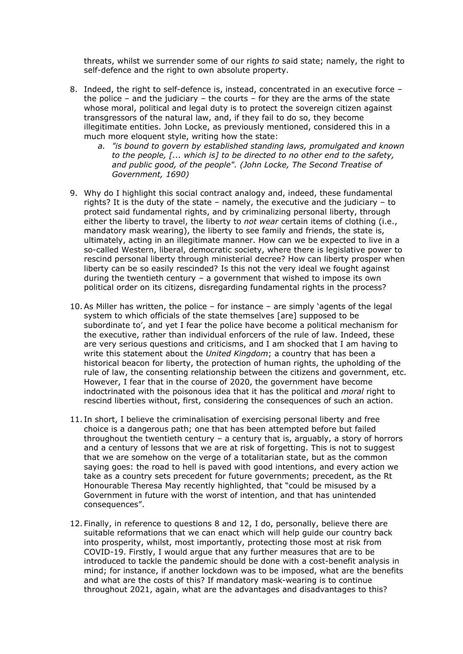threats, whilst we surrender some of our rights *to* said state; namely, the right to self-defence and the right to own absolute property.

- 8. Indeed, the right to self-defence is, instead, concentrated in an executive force the police – and the judiciary – the courts – for they are the arms of the state whose moral, political and legal duty is to protect the sovereign citizen against transgressors of the natural law, and, if they fail to do so, they become illegitimate entities. John Locke, as previously mentioned, considered this in a much more eloquent style, writing how the state:
	- *a. "is bound to govern by established standing laws, promulgated and known to the people, [... which is] to be directed to no other end to the safety, and public good, of the people". (John Locke, The Second Treatise of Government, 1690)*
- 9. Why do I highlight this social contract analogy and, indeed, these fundamental rights? It is the duty of the state – namely, the executive and the judiciary – to protect said fundamental rights, and by criminalizing personal liberty, through either the liberty to travel, the liberty to *not wear* certain items of clothing (i.e., mandatory mask wearing), the liberty to see family and friends, the state is, ultimately, acting in an illegitimate manner. How can we be expected to live in a so-called Western, liberal, democratic society, where there is legislative power to rescind personal liberty through ministerial decree? How can liberty prosper when liberty can be so easily rescinded? Is this not the very ideal we fought against during the twentieth century – a government that wished to impose its own political order on its citizens, disregarding fundamental rights in the process?
- 10.As Miller has written, the police for instance are simply 'agents of the legal system to which officials of the state themselves [are] supposed to be subordinate to', and yet I fear the police have become a political mechanism for the executive, rather than individual enforcers of the rule of law. Indeed, these are very serious questions and criticisms, and I am shocked that I am having to write this statement about the *United Kingdom*; a country that has been a historical beacon for liberty, the protection of human rights, the upholding of the rule of law, the consenting relationship between the citizens and government, etc. However, I fear that in the course of 2020, the government have become indoctrinated with the poisonous idea that it has the political and *moral* right to rescind liberties without, first, considering the consequences of such an action.
- 11. In short, I believe the criminalisation of exercising personal liberty and free choice is a dangerous path; one that has been attempted before but failed throughout the twentieth century  $-$  a century that is, arguably, a story of horrors and a century of lessons that we are at risk of forgetting. This is not to suggest that we are somehow on the verge of a totalitarian state, but as the common saying goes: the road to hell is paved with good intentions, and every action we take as a country sets precedent for future governments; precedent, as the Rt Honourable Theresa May recently highlighted, that "could be misused by a Government in future with the worst of intention, and that has unintended consequences".
- 12. Finally, in reference to questions 8 and 12, I do, personally, believe there are suitable reformations that we can enact which will help guide our country back into prosperity, whilst, most importantly, protecting those most at risk from COVID-19. Firstly, I would argue that any further measures that are to be introduced to tackle the pandemic should be done with a cost-benefit analysis in mind; for instance, if another lockdown was to be imposed, what are the benefits and what are the costs of this? If mandatory mask-wearing is to continue throughout 2021, again, what are the advantages and disadvantages to this?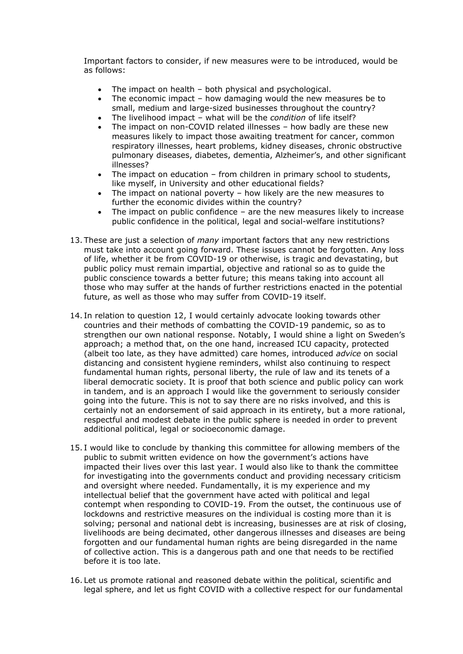Important factors to consider, if new measures were to be introduced, would be as follows:

- The impact on health both physical and psychological.
- The economic impact how damaging would the new measures be to small, medium and large-sized businesses throughout the country?
- The livelihood impact what will be the *condition* of life itself?
- The impact on non-COVID related illnesses how badly are these new measures likely to impact those awaiting treatment for cancer, common respiratory illnesses, heart problems, kidney diseases, chronic obstructive pulmonary diseases, diabetes, dementia, Alzheimer's, and other significant illnesses?
- The impact on education from children in primary school to students, like myself, in University and other educational fields?
- The impact on national poverty how likely are the new measures to further the economic divides within the country?
- The impact on public confidence are the new measures likely to increase public confidence in the political, legal and social-welfare institutions?
- 13. These are just a selection of *many* important factors that any new restrictions must take into account going forward. These issues cannot be forgotten. Any loss of life, whether it be from COVID-19 or otherwise, is tragic and devastating, but public policy must remain impartial, objective and rational so as to guide the public conscience towards a better future; this means taking into account all those who may suffer at the hands of further restrictions enacted in the potential future, as well as those who may suffer from COVID-19 itself.
- 14. In relation to question 12, I would certainly advocate looking towards other countries and their methods of combatting the COVID-19 pandemic, so as to strengthen our own national response. Notably, I would shine a light on Sweden's approach; a method that, on the one hand, increased ICU capacity, protected (albeit too late, as they have admitted) care homes, introduced *advice* on social distancing and consistent hygiene reminders, whilst also continuing to respect fundamental human rights, personal liberty, the rule of law and its tenets of a liberal democratic society. It is proof that both science and public policy can work in tandem, and is an approach I would like the government to seriously consider going into the future. This is not to say there are no risks involved, and this is certainly not an endorsement of said approach in its entirety, but a more rational, respectful and modest debate in the public sphere is needed in order to prevent additional political, legal or socioeconomic damage.
- 15. I would like to conclude by thanking this committee for allowing members of the public to submit written evidence on how the government's actions have impacted their lives over this last year. I would also like to thank the committee for investigating into the governments conduct and providing necessary criticism and oversight where needed. Fundamentally, it is my experience and my intellectual belief that the government have acted with political and legal contempt when responding to COVID-19. From the outset, the continuous use of lockdowns and restrictive measures on the individual is costing more than it is solving; personal and national debt is increasing, businesses are at risk of closing, livelihoods are being decimated, other dangerous illnesses and diseases are being forgotten and our fundamental human rights are being disregarded in the name of collective action. This is a dangerous path and one that needs to be rectified before it is too late.
- 16.Let us promote rational and reasoned debate within the political, scientific and legal sphere, and let us fight COVID with a collective respect for our fundamental